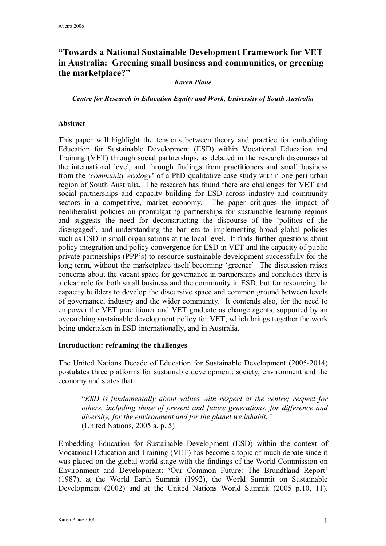# **"Towards a National Sustainable Development Framework for VET in Australia: Greening small business and communities, or greening the marketplace?"**

#### *Karen Plane*

*Centre for Research in Education Equity and Work, University of South Australia*

#### **Abstract**

This paper will highlight the tensions between theory and practice for embedding Education for Sustainable Development (ESD) within Vocational Education and Training (VET) through social partnerships, as debated in the research discourses at the international level, and through findings from practitioners and small business from the '*community ecology*' of a PhD qualitative case study within one peri urban region of South Australia. The research has found there are challenges for VET and social partnerships and capacity building for ESD across industry and community sectors in a competitive, market economy. The paper critiques the impact of neoliberalist policies on promulgating partnerships for sustainable learning regions and suggests the need for deconstructing the discourse of the 'politics of the disengaged', and understanding the barriers to implementing broad global policies such as ESD in small organisations at the local level. It finds further questions about policy integration and policy convergence for ESD in VET and the capacity of public private partnerships (PPP's) to resource sustainable development successfully for the long term, without the marketplace itself becoming 'greener' The discussion raises concerns about the vacant space for governance in partnerships and concludes there is a clear role for both small business and the community in ESD, but for resourcing the capacity builders to develop the discursive space and common ground between levels of governance, industry and the wider community. It contends also, for the need to empower the VET practitioner and VET graduate as change agents, supported by an overarching sustainable development policy for VET, which brings together the work being undertaken in ESD internationally, and in Australia.

#### **Introduction: reframing the challenges**

The United Nations Decade of Education for Sustainable Development (2005-2014) postulates three platforms for sustainable development: society, environment and the economy and states that:

"*ESD is fundamentally about values with respect at the centre; respect for others, including those of present and future generations, for difference and diversity, for the environment and for the planet we inhabit."* (United Nations, 2005 a, p. 5)

Embedding Education for Sustainable Development (ESD) within the context of Vocational Education and Training (VET) has become a topic of much debate since it was placed on the global world stage with the findings of the World Commission on Environment and Development: 'Our Common Future: The Brundtland Report' (1987), at the World Earth Summit (1992), the World Summit on Sustainable Development (2002) and at the United Nations World Summit (2005 p.10, 11).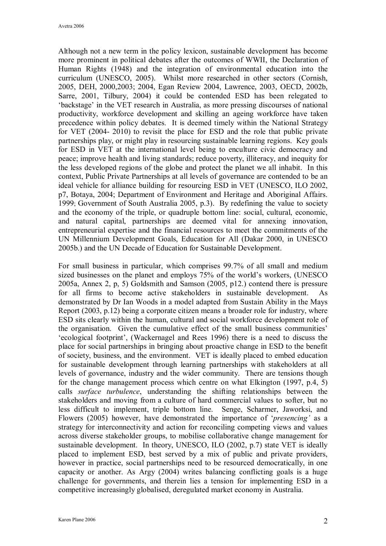Although not a new term in the policy lexicon, sustainable development has become more prominent in political debates after the outcomes of WWII, the Declaration of Human Rights (1948) and the integration of environmental education into the curriculum (UNESCO, 2005). Whilst more researched in other sectors (Cornish, 2005, DEH, 2000,2003; 2004, Egan Review 2004, Lawrence, 2003, OECD, 2002b, Sarre, 2001, Tilbury, 2004) it could be contended ESD has been relegated to 'backstage' in the VET research in Australia, as more pressing discourses of national productivity, workforce development and skilling an ageing workforce have taken precedence within policy debates. It is deemed timely within the National Strategy for VET (2004-2010) to revisit the place for ESD and the role that public private partnerships play, or might play in resourcing sustainable learning regions. Key goals for ESD in VET at the international level being to enculture civic democracy and peace; improve health and living standards; reduce poverty, illiteracy, and inequity for the less developed regions of the globe and protect the planet we all inhabit. In this context, Public Private Partnerships at all levels of governance are contended to be an ideal vehicle for alliance building for resourcing ESD in VET (UNESCO, ILO 2002, p7, Botaya, 2004; Department of Environment and Heritage and Aboriginal Affairs. 1999; Government of South Australia 2005, p.3). By redefining the value to society and the economy of the triple, or quadruple bottom line: social, cultural, economic, and natural capital, partnerships are deemed vital for annexing innovation, entrepreneurial expertise and the financial resources to meet the commitments of the UN Millennium Development Goals, Education for All (Dakar 2000, in UNESCO 2005b.) and the UN Decade of Education for Sustainable Development.

For small business in particular, which comprises 99.7% of all small and medium sized businesses on the planet and employs 75% of the world's workers, (UNESCO 2005a, Annex 2, p, 5) Goldsmith and Samson (2005, p12.) contend there is pressure for all firms to become active stakeholders in sustainable development. As demonstrated by Dr Ian Woods in a model adapted from Sustain Ability in the Mays Report (2003, p.12) being a corporate citizen means a broader role for industry, where ESD sits clearly within the human, cultural and social workforce development role of the organisation. Given the cumulative effect of the small business communities' 'ecological footprint', (Wackernagel and Rees 1996) there is a need to discuss the place for social partnerships in bringing about proactive change in ESD to the benefit of society, business, and the environment. VET is ideally placed to embed education for sustainable development through learning partnerships with stakeholders at all levels of governance, industry and the wider community. There are tensions though for the change management process which centre on what Elkington (1997, p.4, 5) calls *surface turbulence*, understanding the shifting relationships between the stakeholders and moving from a culture of hard commercial values to softer, but no less difficult to implement, triple bottom line. Senge, Scharmer, Jaworksi, and Flowers (2005) however, have demonstrated the importance of '*presencing'* as a strategy for interconnectivity and action for reconciling competing views and values across diverse stakeholder groups, to mobilise collaborative change management for sustainable development. In theory, UNESCO, ILO (2002, p.7) state VET is ideally placed to implement ESD, best served by a mix of public and private providers, however in practice, social partnerships need to be resourced democratically, in one capacity or another. As Argy (2004) writes balancing conflicting goals is a huge challenge for governments, and therein lies a tension for implementing ESD in a competitive increasingly globalised, deregulated market economy in Australia.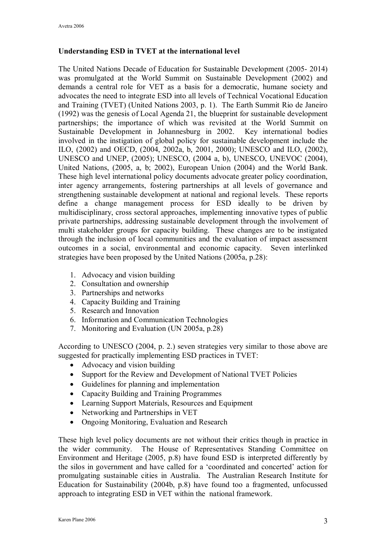## **Understanding ESD in TVET at the international level**

The United Nations Decade of Education for Sustainable Development (2005-2014) was promulgated at the World Summit on Sustainable Development (2002) and demands a central role for VET as a basis for a democratic, humane society and advocates the need to integrate ESD into all levels of Technical Vocational Education and Training (TVET) (United Nations 2003, p. 1). The Earth Summit Rio de Janeiro (1992) was the genesis of Local Agenda 21, the blueprint for sustainable development partnerships; the importance of which was revisited at the World Summit on Sustainable Development in Johannesburg in 2002. Key international bodies involved in the instigation of global policy for sustainable development include the ILO, (2002) and OECD, (2004, 2002a, b, 2001, 2000); UNESCO and ILO, (2002), UNESCO and UNEP, (2005); UNESCO, (2004 a, b), UNESCO, UNEVOC (2004), United Nations, (2005, a, b; 2002), European Union (2004) and the World Bank. These high level international policy documents advocate greater policy coordination, inter agency arrangements, fostering partnerships at all levels of governance and strengthening sustainable development at national and regional levels. These reports define a change management process for ESD ideally to be driven by multidisciplinary, cross sectoral approaches, implementing innovative types of public private partnerships, addressing sustainable development through the involvement of multi stakeholder groups for capacity building. These changes are to be instigated through the inclusion of local communities and the evaluation of impact assessment outcomes in a social, environmental and economic capacity. Seven interlinked strategies have been proposed by the United Nations (2005a, p.28):

- 1. Advocacy and vision building
- 2. Consultation and ownership
- 3. Partnerships and networks
- 4. Capacity Building and Training
- 5. Research and Innovation
- 6. Information and Communication Technologies
- 7. Monitoring and Evaluation (UN 2005a, p.28)

According to UNESCO (2004, p. 2.) seven strategies very similar to those above are suggested for practically implementing ESD practices in TVET:

- Advocacy and vision building
- · Support for the Review and Development of National TVET Policies
- · Guidelines for planning and implementation
- · Capacity Building and Training Programmes
- · Learning Support Materials, Resources and Equipment
- Networking and Partnerships in VET
- Ongoing Monitoring, Evaluation and Research

These high level policy documents are not without their critics though in practice in the wider community. The House of Representatives Standing Committee on Environment and Heritage (2005, p.8) have found ESD is interpreted differently by the silos in government and have called for a 'coordinated and concerted' action for promulgating sustainable cities in Australia. The Australian Research Institute for Education for Sustainability (2004b, p.8) have found too a fragmented, unfocussed approach to integrating ESD in VET within the national framework.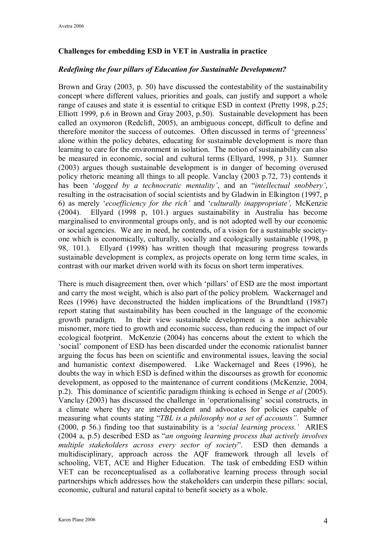## **Challenges for embedding ESD in VET in Australia in practice**

### *Redefining the four pillars of Education for Sustainable Development?*

Brown and Gray (2003, p. 50) have discussed the contestability of the sustainability concept where different values, priorities and goals, can justify and support a whole range of causes and state it is essential to critique ESD in context (Pretty 1998, p.25; Elliott 1999, p.6 in Brown and Gray 2003, p.50). Sustainable development has been called an oxymoron (Redclift, 2005), an ambiguous concept, difficult to define and therefore monitor the success of outcomes. Often discussed in terms of 'greenness' alone within the policy debates, educating for sustainable development is more than learning to care for the environment in isolation. The notion of sustainability can also be measured in economic, social and cultural terms (Ellyard, 1998, p 31). Sumner (2003) argues though sustainable development is in danger of becoming overused policy rhetoric meaning all things to all people. Vanclay (2003 p.72, 73) contends it has been '*dogged by a technocratic mentality'*, and an "*intellectual snobbery'*, resulting in the ostracisation of social scientists and by Gladwin in Elkington (1997, p 6) as merely '*ecoefficiency for the rich'* and '*culturally inappropriate',* McKenzie (2004). Ellyard (1998 p, 101.) argues sustainability in Australia has become marginalised to environmental groups only, and is not adopted well by our economic or social agencies. We are in need, he contends, of a vision for a sustainable society one which is economically, culturally, socially and ecologically sustainable (1998, p 98, 101.). Ellyard (1998) has written though that measuring progress towards sustainable development is complex, as projects operate on long term time scales, in contrast with our market driven world with its focus on short term imperatives.

There is much disagreement then, over which 'pillars' of ESD are the most important and carry the most weight, which is also part of the policy problem. Wackernagel and Rees (1996) have deconstructed the hidden implications of the Brundtland (1987) report stating that sustainability has been couched in the language of the economic growth paradigm. In their view sustainable development is a non achievable misnomer, more tied to growth and economic success, than reducing the impact of our ecological footprint. McKenzie (2004) has concerns about the extent to which the 'social' component of ESD has been discarded under the economic rationalist banner arguing the focus has been on scientific and environmental issues, leaving the social and humanistic context disempowered. Like Wackernagel and Rees (1996), he doubts the way in which ESD is defined within the discourses as growth for economic development, as opposed to the maintenance of current conditions (McKenzie, 2004, p.2). This dominance of scientific paradigm thinking is echoed in Senge *et al* (2005). Vanclay (2003) has discussed the challenge in 'operationalising' social constructs, in a climate where they are interdependent and advocates for policies capable of measuring what counts stating "*TBL is a philosophy not a set of accounts".* Sumner (2000, p 56.) finding too that sustainability is a '*social learning process.'* ARIES (2004 a, p.5) described ESD as "*an ongoing learning process that actively involves multiple stakeholders across every sector of society*". ESD then demands a multidisciplinary, approach across the AQF framework through all levels of schooling, VET, ACE and Higher Education. The task of embedding ESD within VET can be reconceptualised as a collaborative learning process through social partnerships which addresses how the stakeholders can underpin these pillars: social, economic, cultural and natural capital to benefit society as a whole.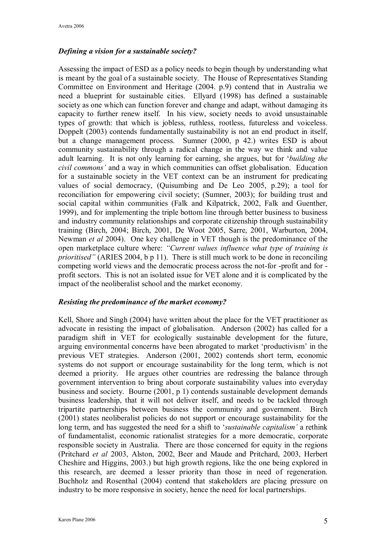## *Defining a vision for a sustainable society?*

Assessing the impact of ESD as a policy needs to begin though by understanding what is meant by the goal of a sustainable society. The House of Representatives Standing Committee on Environment and Heritage (2004. p.9) contend that in Australia we need a blueprint for sustainable cities. Ellyard (1998) has defined a sustainable society as one which can function forever and change and adapt, without damaging its capacity to further renew itself. In his view, society needs to avoid unsustainable types of growth: that which is jobless, ruthless, rootless, futureless and voiceless. Doppelt (2003) contends fundamentally sustainability is not an end product in itself, but a change management process. Sumner (2000, p 42.) writes ESD is about community sustainability through a radical change in the way we think and value adult learning. It is not only learning for earning, she argues, but for '*building the civil commons'* and a way in which communities can offset globalisation. Education for a sustainable society in the VET context can be an instrument for predicating values of social democracy, (Quisumbing and De Leo 2005, p.29); a tool for reconciliation for empowering civil society; (Sumner, 2003); for building trust and social capital within communities (Falk and Kilpatrick, 2002, Falk and Guenther, 1999), and for implementing the triple bottom line through better business to business and industry community relationships and corporate citizenship through sustainability training (Birch, 2004; Birch, 2001, De Woot 2005, Sarre, 2001, Warburton, 2004, Newman *et al* 2004). One key challenge in VET though is the predominance of the open marketplace culture where: *"Current values influence what type of training is prioritised"* (ARIES 2004, b p 11). There is still much work to be done in reconciling competing world views and the democratic process across the not-for-profit and forprofit sectors. This is not an isolated issue for VET alone and it is complicated by the impact of the neoliberalist school and the market economy.

#### *Resisting the predominance of the market economy?*

Kell, Shore and Singh (2004) have written about the place for the VET practitioner as advocate in resisting the impact of globalisation. Anderson (2002) has called for a paradigm shift in VET for ecologically sustainable development for the future, arguing environmental concerns have been abrogated to market 'productivism' in the previous VET strategies. Anderson (2001, 2002) contends short term, economic systems do not support or encourage sustainability for the long term, which is not deemed a priority. He argues other countries are redressing the balance through government intervention to bring about corporate sustainability values into everyday business and society. Bourne (2001, p 1) contends sustainable development demands business leadership, that it will not deliver itself, and needs to be tackled through tripartite partnerships between business the community and government. Birch (2001) states neoliberalist policies do not support or encourage sustainability for the long term, and has suggested the need for a shift to '*sustainable capitalism'* a rethink of fundamentalist, economic rationalist strategies for a more democratic, corporate responsible society in Australia. There are those concerned for equity in the regions (Pritchard *et al* 2003, Alston, 2002, Beer and Maude and Pritchard, 2003, Herbert Cheshire and Higgins, 2003.) but high growth regions, like the one being explored in this research, are deemed a lesser priority than those in need of regeneration. Buchholz and Rosenthal (2004) contend that stakeholders are placing pressure on industry to be more responsive in society, hence the need for local partnerships.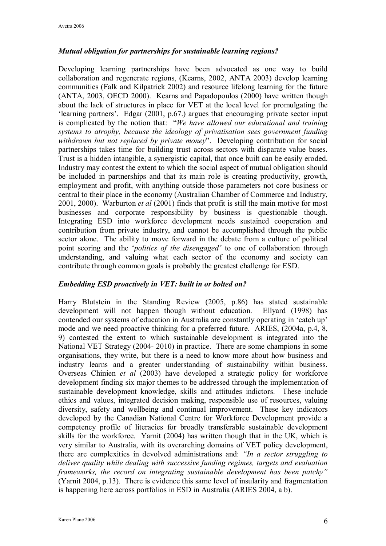## *Mutual obligation for partnerships for sustainable learning regions?*

Developing learning partnerships have been advocated as one way to build collaboration and regenerate regions, (Kearns, 2002, ANTA 2003) develop learning communities (Falk and Kilpatrick 2002) and resource lifelong learning for the future (ANTA, 2003, OECD 2000). Kearns and Papadopoulos (2000) have written though about the lack of structures in place for VET at the local level for promulgating the 'learning partners'. Edgar (2001, p.67.) argues that encouraging private sector input is complicated by the notion that: "*We have allowed our educational and training systems to atrophy, because the ideology of privatisation sees government funding withdrawn but not replaced by private money*". Developing contribution for social partnerships takes time for building trust across sectors with disparate value bases. Trust is a hidden intangible, a synergistic capital, that once built can be easily eroded. Industry may contest the extent to which the social aspect of mutual obligation should be included in partnerships and that its main role is creating productivity, growth, employment and profit, with anything outside those parameters not core business or central to their place in the economy (Australian Chamber of Commerce and Industry, 2001, 2000). Warburton *et al* (2001) finds that profit is still the main motive for most businesses and corporate responsibility by business is questionable though. Integrating ESD into workforce development needs sustained cooperation and contribution from private industry, and cannot be accomplished through the public sector alone. The ability to move forward in the debate from a culture of political point scoring and the '*politics of the disengaged'* to one of collaboration through understanding, and valuing what each sector of the economy and society can contribute through common goals is probably the greatest challenge for ESD.

## *Embedding ESD proactively in VET: built in or bolted on?*

Harry Blutstein in the Standing Review (2005, p.86) has stated sustainable development will not happen though without education. Ellyard (1998) has contended our systems of education in Australia are constantly operating in 'catch up' mode and we need proactive thinking for a preferred future. ARIES, (2004a, p.4, 8, 9) contested the extent to which sustainable development is integrated into the National VET Strategy (2004-2010) in practice. There are some champions in some organisations, they write, but there is a need to know more about how business and industry learns and a greater understanding of sustainability within business. Overseas Chinien *et al* (2003) have developed a strategic policy for workforce development finding six major themes to be addressed through the implementation of sustainable development knowledge, skills and attitudes indictors. These include ethics and values, integrated decision making, responsible use of resources, valuing diversity, safety and wellbeing and continual improvement. These key indicators developed by the Canadian National Centre for Workforce Development provide a competency profile of literacies for broadly transferable sustainable development skills for the workforce. Yarnit (2004) has written though that in the UK, which is very similar to Australia, with its overarching domains of VET policy development, there are complexities in devolved administrations and: *"In a sector struggling to deliver quality while dealing with successive funding regimes, targets and evaluation frameworks, the record on integrating sustainable development has been patchy"* (Yarnit 2004, p.13). There is evidence this same level of insularity and fragmentation is happening here across portfolios in ESD in Australia (ARIES 2004, a b).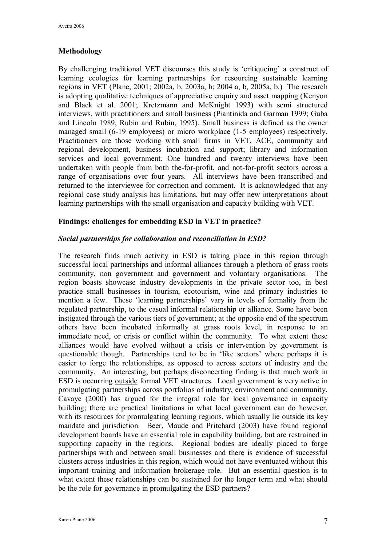## **Methodology**

By challenging traditional VET discourses this study is 'critiqueing' a construct of learning ecologies for learning partnerships for resourcing sustainable learning regions in VET (Plane, 2001; 2002a, b, 2003a, b; 2004 a, b, 2005a, b.) The research is adopting qualitative techniques of appreciative enquiry and asset mapping (Kenyon and Black et al. 2001; Kretzmann and McKnight 1993) with semi structured interviews, with practitioners and small business (Piantinida and Garman 1999; Guba and Lincoln 1989, Rubin and Rubin, 1995). Small business is defined as the owner managed small (6-19 employees) or micro workplace (1-5 employees) respectively. Practitioners are those working with small firms in VET, ACE, community and regional development, business incubation and support; library and information services and local government. One hundred and twenty interviews have been undertaken with people from both the-for-profit, and not-for-profit sectors across a range of organisations over four years. All interviews have been transcribed and returned to the interviewee for correction and comment. It is acknowledged that any regional case study analysis has limitations, but may offer new interpretations about learning partnerships with the small organisation and capacity building with VET.

## **Findings: challenges for embedding ESD in VET in practice?**

### *Social partnerships for collaboration and reconciliation in ESD?*

The research finds much activity in ESD is taking place in this region through successful local partnerships and informal alliances through a plethora of grass roots community, non government and government and voluntary organisations. The region boasts showcase industry developments in the private sector too, in best practice small businesses in tourism, ecotourism, wine and primary industries to mention a few. These 'learning partnerships' vary in levels of formality from the regulated partnership, to the casual informal relationship or alliance. Some have been instigated through the various tiers of government; at the opposite end of the spectrum others have been incubated informally at grass roots level, in response to an immediate need, or crisis or conflict within the community. To what extent these alliances would have evolved without a crisis or intervention by government is questionable though. Partnerships tend to be in 'like sectors' where perhaps it is easier to forge the relationships, as opposed to across sectors of industry and the community. An interesting, but perhaps disconcerting finding is that much work in ESD is occurring outside formal VET structures. Local government is very active in promulgating partnerships across portfolios of industry, environment and community. Cavaye (2000) has argued for the integral role for local governance in capacity building; there are practical limitations in what local government can do however, with its resources for promulgating learning regions, which usually lie outside its key mandate and jurisdiction. Beer, Maude and Pritchard (2003) have found regional development boards have an essential role in capability building, but are restrained in supporting capacity in the regions. Regional bodies are ideally placed to forge partnerships with and between small businesses and there is evidence of successful clusters across industries in this region, which would not have eventuated without this important training and information brokerage role. But an essential question is to what extent these relationships can be sustained for the longer term and what should be the role for governance in promulgating the ESD partners?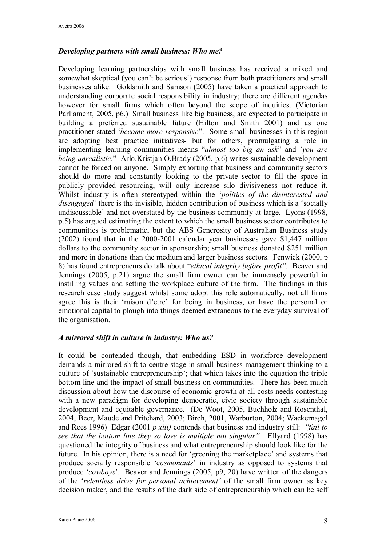### *Developing partners with small business: Who me?*

Developing learning partnerships with small business has received a mixed and somewhat skeptical (you can't be serious!) response from both practitioners and small businesses alike. Goldsmith and Samson (2005) have taken a practical approach to understanding corporate social responsibility in industry; there are different agendas however for small firms which often beyond the scope of inquiries. (Victorian Parliament, 2005, p6.) Small business like big business, are expected to participate in building a preferred sustainable future (Hilton and Smith 2001) and as one practitioner stated '*become more responsive*". Some small businesses in this region are adopting best practice initiatives but for others, promulgating a role in implementing learning communities means "*almost too big an ask*" and '*you are being unrealistic*." Arlo.Kristjan O.Brady (2005, p.6) writes sustainable development cannot be forced on anyone. Simply exhorting that business and community sectors should do more and constantly looking to the private sector to fill the space in publicly provided resourcing, will only increase silo divisiveness not reduce it. Whilst industry is often stereotyped within the '*politics of the disinterested and disengaged'* there is the invisible, hidden contribution of business which is a 'socially undiscussable' and not overstated by the business community at large. Lyons (1998, p.5) has argued estimating the extent to which the small business sector contributes to communities is problematic, but the ABS Generosity of Australian Business study (2002) found that in the  $2000-2001$  calendar year businesses gave \$1,447 million dollars to the community sector in sponsorship; small business donated \$251 million and more in donations than the medium and larger business sectors. Fenwick (2000, p 8) has found entrepreneurs do talk about "*ethical integrity before profit".* Beaver and Jennings (2005, p.21) argue the small firm owner can be immensely powerful in instilling values and setting the workplace culture of the firm. The findings in this research case study suggest whilst some adopt this role automatically, not all firms agree this is their 'raison d'etre' for being in business, or have the personal or emotional capital to plough into things deemed extraneous to the everyday survival of the organisation.

## *A mirrored shift in culture in industry: Who us?*

It could be contended though, that embedding ESD in workforce development demands a mirrored shift to centre stage in small business management thinking to a culture of 'sustainable entrepreneurship'; that which takes into the equation the triple bottom line and the impact of small business on communities. There has been much discussion about how the discourse of economic growth at all costs needs contesting with a new paradigm for developing democratic, civic society through sustainable development and equitable governance. (De Woot, 2005, Buchholz and Rosenthal, 2004, Beer, Maude and Pritchard, 2003; Birch, 2001, Warburton, 2004; Wackernagel and Rees 1996) Edgar (2001 *p xiii)* contends that business and industry still: *"fail to see that the bottom line they so love is multiple not singular".* Ellyard (1998) has questioned the integrity of business and what entrepreneurship should look like for the future. In his opinion, there is a need for 'greening the marketplace' and systems that produce socially responsible 'c*osmonauts*' in industry as opposed to systems that produce '*cowboys*'. Beaver and Jennings (2005, p9, 20) have written of the dangers of the '*relentless drive for personal achievement'* of the small firm owner as key decision maker, and the results of the dark side of entrepreneurship which can be self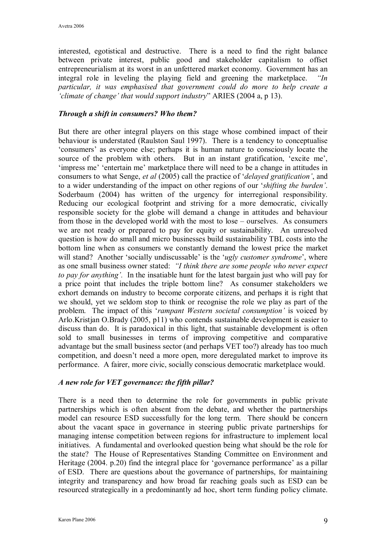interested, egotistical and destructive. There is a need to find the right balance between private interest, public good and stakeholder capitalism to offset entrepreneurialism at its worst in an unfettered market economy. Government has an integral role in leveling the playing field and greening the marketplace. *"In particular, it was emphasised that government could do more to help create a 'climate of change' that would support industry*" ARIES (2004 a, p 13).

#### *Through a shift in consumers? Who them?*

But there are other integral players on this stage whose combined impact of their behaviour is understated (Raulston Saul 1997). There is a tendency to conceptualise 'consumers' as everyone else; perhaps it is human nature to consciously locate the source of the problem with others. But in an instant gratification, 'excite me', 'impress me' 'entertain me' marketplace there will need to be a change in attitudes in consumers to what Senge, *et al* (2005) call the practice of '*delayed gratification'*, and to a wider understanding of the impact on other regions of our '*shifting the burden'*. Soderbaum (2004) has written of the urgency for interregional responsibility. Reducing our ecological footprint and striving for a more democratic, civically responsible society for the globe will demand a change in attitudes and behaviour from those in the developed world with the most to lose – ourselves. As consumers we are not ready or prepared to pay for equity or sustainability. An unresolved question is how do small and micro businesses build sustainability TBL costs into the bottom line when as consumers we constantly demand the lowest price the market will stand? Another 'socially undiscussable' is the '*ugly customer syndrome*', where as one small business owner stated: *"I think there are some people who never expect to pay for anything'.* In the insatiable hunt for the latest bargain just who will pay for a price point that includes the triple bottom line? As consumer stakeholders we exhort demands on industry to become corporate citizens, and perhaps it is right that we should, yet we seldom stop to think or recognise the role we play as part of the problem. The impact of this '*rampant Western societal consumption'* is voiced by Arlo.Kristjan O.Brady (2005, p11) who contends sustainable development is easier to discuss than do. It is paradoxical in this light, that sustainable development is often sold to small businesses in terms of improving competitive and comparative advantage but the small business sector (and perhaps VET too?) already has too much competition, and doesn't need a more open, more deregulated market to improve its performance. A fairer, more civic, socially conscious democratic marketplace would.

#### *A new role for VET governance: the fifth pillar?*

There is a need then to determine the role for governments in public private partnerships which is often absent from the debate, and whether the partnerships model can resource ESD successfully for the long term. There should be concern about the vacant space in governance in steering public private partnerships for managing intense competition between regions for infrastructure to implement local initiatives. A fundamental and overlooked question being what should be the role for the state? The House of Representatives Standing Committee on Environment and Heritage (2004. p.20) find the integral place for 'governance performance' as a pillar of ESD. There are questions about the governance of partnerships, for maintaining integrity and transparency and how broad far reaching goals such as ESD can be resourced strategically in a predominantly ad hoc, short term funding policy climate.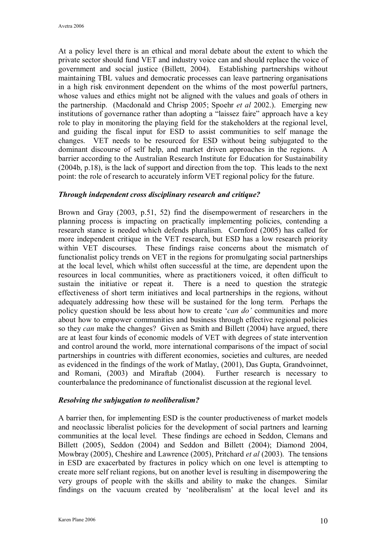At a policy level there is an ethical and moral debate about the extent to which the private sector should fund VET and industry voice can and should replace the voice of government and social justice (Billett, 2004). Establishing partnerships without maintaining TBL values and democratic processes can leave partnering organisations in a high risk environment dependent on the whims of the most powerful partners, whose values and ethics might not be aligned with the values and goals of others in the partnership. (Macdonald and Chrisp 2005; Spoehr *et al* 2002.). Emerging new institutions of governance rather than adopting a "laissez faire" approach have a key role to play in monitoring the playing field for the stakeholders at the regional level, and guiding the fiscal input for ESD to assist communities to self manage the changes. VET needs to be resourced for ESD without being subjugated to the dominant discourse of self help, and market driven approaches in the regions. A barrier according to the Australian Research Institute for Education for Sustainability (2004b, p.18), is the lack of support and direction from the top. This leads to the next point: the role of research to accurately inform VET regional policy for the future.

#### *Through independent cross disciplinary research and critique?*

Brown and Gray (2003, p.51, 52) find the disempowerment of researchers in the planning process is impacting on practically implementing policies, contending a research stance is needed which defends pluralism. Cornford (2005) has called for more independent critique in the VET research, but ESD has a low research priority within VET discourses. These findings raise concerns about the mismatch of functionalist policy trends on VET in the regions for promulgating social partnerships at the local level, which whilst often successful at the time, are dependent upon the resources in local communities, where as practitioners voiced, it often difficult to sustain the initiative or repeat it. There is a need to question the strategic effectiveness of short term initiatives and local partnerships in the regions, without adequately addressing how these will be sustained for the long term. Perhaps the policy question should be less about how to create '*can do'* communities and more about how to empower communities and business through effective regional policies so they *can* make the changes? Given as Smith and Billett (2004) have argued, there are at least four kinds of economic models of VET with degrees of state intervention and control around the world, more international comparisons of the impact of social partnerships in countries with different economies, societies and cultures, are needed as evidenced in the findings of the work of Matlay, (2001), Das Gupta, Grandvoinnet, and Romani, (2003) and Miraftab (2004). Further research is necessary to counterbalance the predominance of functionalist discussion at the regional level.

#### *Resolving the subjugation to neoliberalism?*

A barrier then, for implementing ESD is the counter productiveness of market models and neoclassic liberalist policies for the development of social partners and learning communities at the local level. These findings are echoed in Seddon, Clemans and Billett (2005), Seddon (2004) and Seddon and Billett (2004); Diamond 2004, Mowbray (2005), Cheshire and Lawrence (2005), Pritchard *et al* (2003). The tensions in ESD are exacerbated by fractures in policy which on one level is attempting to create more self reliant regions, but on another level is resulting in disempowering the very groups of people with the skills and ability to make the changes. Similar findings on the vacuum created by 'neoliberalism' at the local level and its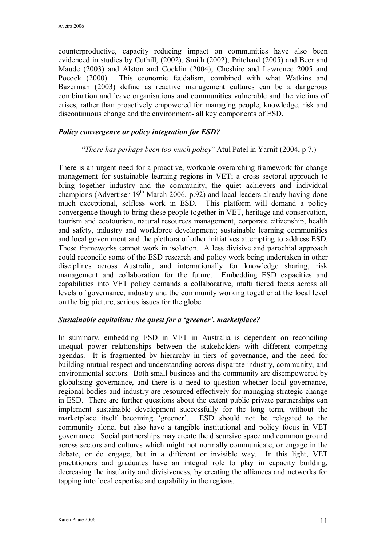counterproductive, capacity reducing impact on communities have also been evidenced in studies by Cuthill, (2002), Smith (2002), Pritchard (2005) and Beer and Maude (2003) and Alston and Cocklin (2004); Cheshire and Lawrence 2005 and Pocock (2000). This economic feudalism, combined with what Watkins and Bazerman (2003) define as reactive management cultures can be a dangerous combination and leave organisations and communities vulnerable and the victims of crises, rather than proactively empowered for managing people, knowledge, risk and discontinuous change and the environment- all key components of ESD.

### *Policy convergence or policy integration for ESD?*

#### "*There has perhaps been too much policy*" Atul Patel in Yarnit (2004, p 7.)

There is an urgent need for a proactive, workable overarching framework for change management for sustainable learning regions in VET; a cross sectoral approach to bring together industry and the community, the quiet achievers and individual champions (Advertiser  $19<sup>th</sup>$  March 2006, p.92) and local leaders already having done much exceptional, selfless work in ESD. This platform will demand a policy convergence though to bring these people together in VET, heritage and conservation, tourism and ecotourism, natural resources management, corporate citizenship, health and safety, industry and workforce development; sustainable learning communities and local government and the plethora of other initiatives attempting to address ESD. These frameworks cannot work in isolation. A less divisive and parochial approach could reconcile some of the ESD research and policy work being undertaken in other disciplines across Australia, and internationally for knowledge sharing, risk management and collaboration for the future. Embedding ESD capacities and capabilities into VET policy demands a collaborative, multi tiered focus across all levels of governance, industry and the community working together at the local level on the big picture, serious issues for the globe.

#### *Sustainable capitalism: the quest for a 'greener', marketplace?*

In summary, embedding ESD in VET in Australia is dependent on reconciling unequal power relationships between the stakeholders with different competing agendas. It is fragmented by hierarchy in tiers of governance, and the need for building mutual respect and understanding across disparate industry, community, and environmental sectors. Both small business and the community are disempowered by globalising governance, and there is a need to question whether local governance, regional bodies and industry are resourced effectively for managing strategic change in ESD. There are further questions about the extent public private partnerships can implement sustainable development successfully for the long term, without the marketplace itself becoming 'greener'. ESD should not be relegated to the community alone, but also have a tangible institutional and policy focus in VET governance. Social partnerships may create the discursive space and common ground across sectors and cultures which might not normally communicate, or engage in the debate, or do engage, but in a different or invisible way. In this light, VET practitioners and graduates have an integral role to play in capacity building, decreasing the insularity and divisiveness, by creating the alliances and networks for tapping into local expertise and capability in the regions.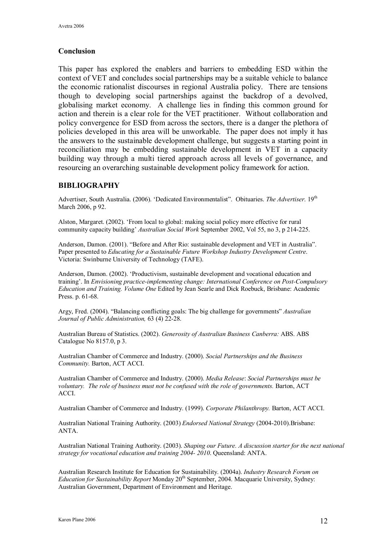#### **Conclusion**

This paper has explored the enablers and barriers to embedding ESD within the context of VET and concludes social partnerships may be a suitable vehicle to balance the economic rationalist discourses in regional Australia policy. There are tensions though to developing social partnerships against the backdrop of a devolved, globalising market economy. A challenge lies in finding this common ground for action and therein is a clear role for the VET practitioner. Without collaboration and policy convergence for ESD from across the sectors, there is a danger the plethora of policies developed in this area will be unworkable. The paper does not imply it has the answers to the sustainable development challenge, but suggests a starting point in reconciliation may be embedding sustainable development in VET in a capacity building way through a multi tiered approach across all levels of governance, and resourcing an overarching sustainable development policy framework for action.

#### **BIBLIOGRAPHY**

Advertiser, South Australia. (2006). 'Dedicated Environmentalist". Obituaries. The Advertiser. 19<sup>th</sup> March 2006, p 92.

Alston, Margaret. (2002). 'From local to global: making social policy more effective for rural community capacity building' *Australian Social Work* September 2002, Vol 55, no 3, p 214225.

Anderson, Damon. (2001). "Before and After Rio: sustainable development and VET in Australia". Paper presented to *Educating for a Sustainable Future Workshop Industry Development Centre*. Victoria: Swinburne University of Technology (TAFE).

Anderson, Damon. (2002). 'Productivism, sustainable development and vocational education and training'. In *Envisioning practiceimplementing change: International Conference on PostCompulsory Education and Training. Volume One* Edited by Jean Searle and Dick Roebuck, Brisbane: Academic Press. p. 61-68.

Argy, Fred. (2004). "Balancing conflicting goals: The big challenge for governments" *Australian Journal of Public Administration,* 63 (4) 22-28.

Australian Bureau of Statistics. (2002). *Generosity of Australian Business Canberra:* ABS. ABS Catalogue No 8157.0, p 3.

Australian Chamber of Commerce and Industry. (2000). *Social Partnerships and the Business Community.* Barton, ACT ACCI.

Australian Chamber of Commerce and Industry. (2000). *Media Release*: *Social Partnerships must be voluntary. The role of business must not be confused with the role of governments.* Barton, ACT ACCI.

Australian Chamber of Commerce and Industry. (1999). *Corporate Philanthropy.* Barton, ACT ACCI.

Australian National Training Authority. (2003) *Endorsed National Strategy* (20042010).Brisbane: ANTA.

Australian National Training Authority. (2003). *Shaping our Future. A discussion starter for the next national strategy for vocational education and training 2004 2010*. Queensland: ANTA.

Australian Research Institute for Education for Sustainability. (2004a). *Industry Research Forum on Education for Sustainability Report Monday*  $20<sup>th</sup>$  September, 2004. Macquarie University, Sydney: Australian Government, Department of Environment and Heritage.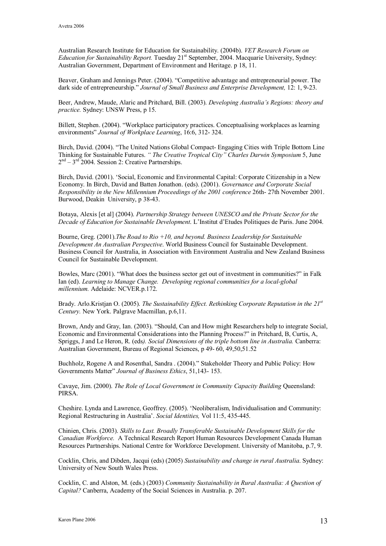Australian Research Institute for Education for Sustainability. (2004b). *VET Research Forum on Education for Sustainability Report.* Tuesday 21<sup>st</sup> September, 2004. Macquarie University, Sydney: Australian Government, Department of Environment and Heritage. p 18, 11.

Beaver, Graham and Jennings Peter. (2004). "Competitive advantage and entrepreneurial power. The dark side of entrepreneurship." *Journal of Small Business and Enterprise Development,* 12: 1, 923.

Beer, Andrew, Maude, Alaric and Pritchard, Bill. (2003). *Developing Australia's Regions: theory and practice.* Sydney: UNSW Press, p 15.

Billett, Stephen. (2004). "Workplace participatory practices. Conceptualising workplaces as learning environments" *Journal of Workplace Learning*, 16:6, 312 324.

Birch, David. (2004). "The United Nations Global Compact Engaging Cities with Triple Bottom Line Thinking for Sustainable Futures. *" The Creative Tropical City" Charles Darwin Symposium* 5, June  $2<sup>nd</sup> - 3<sup>rd</sup>$  2004. Session 2: Creative Partnerships.

Birch, David. (2001). 'Social, Economic and Environmental Capital: Corporate Citizenship in a New Economy. In Birch, David and Batten Jonathon. (eds). (2001). *Governance and Corporate Social Responsibility in the New Millennium Proceedings of the 2001 conference* 26th 27th November 2001. Burwood, Deakin University, p 38-43.

Botaya, Alexis [et al] (2004). *Partnership Strategy between UNESCO and the Private Sector for the Decade of Education for Sustainable Development*. L'Institut d'Etudes Politiques de Paris. June 2004.

Bourne, Greg. (2001).*The Road to Rio +10, and beyond. Business Leadership for Sustainable Development An Australian Perspective*. World Business Council for Sustainable Development. Business Council for Australia, in Association with Environment Australia and New Zealand Business Council for Sustainable Development.

Bowles, Marc (2001). "What does the business sector get out of investment in communities?" in Falk Ian (ed). *Learning to Manage Change. Developing regional communities for a localglobal millennium.* Adelaide: NCVER.p.172.

Brady. Arlo.Kristjan O. (2005). *The Sustainability Ef ect. Rethinking Corporate Reputation in the 21 st Century.* New York. Palgrave Macmillan, p.6,11.

Brown, Andy and Gray, Ian. (2003). "Should, Can and How might Researchers help to integrate Social, Economic and Environmental Considerations into the Planning Process?" in Pritchard, B, Curtis, A, Spriggs, J and Le Heron, R. (eds*). Social Dimensions of the triple bottom line in Australia.* Canberra: Australian Government, Bureau of Regional Sciences, p 49-60, 49,50,51.52

Buchholz, Rogene A and Rosenthal, Sandra . (2004)." Stakeholder Theory and Public Policy: How Governments Matter" *Journal of Business Ethics*, 51,143 153.

Cavaye, Jim. (2000). *The Role of Local Government in Community Capacity Building* Queensland: PIRSA.

Cheshire. Lynda and Lawrence, Geoffrey. (2005). 'Neoliberalism, Individualisation and Community: Regional Restructuring in Australia'. *Social Identities*, Vol 11:5, 435-445.

Chinien, Chris. (2003). *Skills to Last. Broadly Transferable Sustainable Development Skills for the Canadian Workforce.* A Technical Research Report Human Resources Development Canada Human Resources Partnerships. National Centre for Workforce Development. University of Manitoba, p.7, 9.

Cocklin, Chris, and Dibden, Jacqui (eds) (2005) *Sustainability and change in rural Australia*. Sydney: University of New South Wales Press.

Cocklin, C. and Alston, M. (eds.) (2003) *Community Sustainability in Rural Australia: A Question of Capital?* Canberra, Academy of the Social Sciences in Australia. p. 207.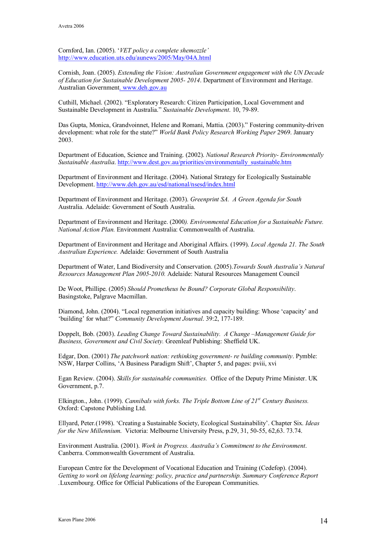Cornford, Ian. (2005). '*VET policy a complete shemozzle'* <http://www.education.uts.edu/aunews/2005/May/04A.html>

Cornish, Joan. (2005). *Extending the Vision: Australian Government engagement with the UN Decade of Education for Sustainable Development 2005 2014*. Department of Environment and Heritage. Australian Government. [www.deh.gov.au](http://.%20www.deh.gov.au)

Cuthill, Michael. (2002). "Exploratory Research: Citizen Participation, Local Government and Sustainable Development in Australia." *Sustainable Development*. 10, 79-89.

Das Gupta, Monica, Grandvoinnet, Helene and Romani, Mattia. (2003)." Fostering community-driven development: what role for the state?" *World Bank Policy Research Working Paper* 2969. January 2003.

Department of Education, Science and Training. (2002). *National Research Priority Environmentally Sustainable Australia*. [http://www.dest.gov.au/priorities/environmentally\\_sustainable.htm](http://www.dest.gov.au/priorities/environmentally_sustainable.htm)

Department of Environment and Heritage. (2004). National Strategy for Ecologically Sustainable Development. <http://www.deh.gov.au/esd/national/nsesd/index.html>

Department of Environment and Heritage. (2003). *Greenprint SA. A Green Agenda for South* Australia. Adelaide: Government of South Australia.

Department of Environment and Heritage. (2000*). Environmental Education for a Sustainable Future. National Action Plan.* Environment Australia: Commonwealth of Australia.

Department of Environment and Heritage and Aboriginal Affairs. (1999). *Local Agenda 21. The South Australian Experience.* Adelaide: Government of South Australia

Department of Water, Land Biodiversity and Conservation. (2005).*Towards South Australia's Natural Resources Management Plan 20052010.* Adelaide: Natural Resources Management Council

De Woot, Phillipe. (2005) *Should Prometheus be Bound? Corporate Global Responsibility*. Basingstoke, Palgrave Macmillan.

Diamond, John. (2004). "Local regeneration initiatives and capacity building: Whose 'capacity' and 'building' for what?" *Community Development Journal*. 39:2, 177-189.

Doppelt, Bob. (2003). *Leading Change Toward Sustainability. A Change –Management Guide for Business, Government and Civil Society.* Greenleaf Publishing: Sheffield UK.

Edgar, Don. (2001) *The patchwork nation: rethinking government re building community*. Pymble: NSW, Harper Collins, 'A Business Paradigm Shift', Chapter 5, and pages: pviii, xvi

Egan Review. (2004). *Skills for sustainable communities.* Office of the Deputy Prime Minister. UK Government, p.7.

Elkington., John. (1999). *Cannibals with forks. The Triple Bottom Line of 21 st Century Business.* Oxford: Capstone Publishing Ltd.

Ellyard, Peter.(1998). 'Creating a Sustainable Society, Ecological Sustainability'. Chapter Six. *Ideas for the New Millennium.* Victoria: Melbourne University Press, p.29, 31, 50-55, 62,63. 73.74.

Environment Australia. (2001). *Work in Progress. Australia's Commitment to the Environment*. Canberra. Commonwealth Government of Australia.

European Centre for the Development of Vocational Education and Training (Cedefop). (2004). *Getting to work on lifelong learning: policy, practice and partnership. Summary Conference Report .*Luxembourg. Office for Official Publications of the European Communities.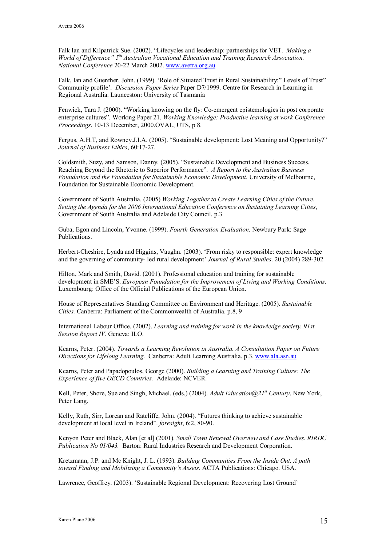Falk Ian and Kilpatrick Sue. (2002). "Lifecycles and leadership: partnerships for VET. *Making a World of Dif erence" 5 th Australian Vocational Education and Training Research Association. National Conference* 20-22 March 2002. [www.avetra.org.au](http://www.avetra.org.au/)

Falk, Ian and Guenther, John. (1999). 'Role of Situated Trust in Rural Sustainability:" Levels of Trust" Community profile'. *Discussion Paper Series* Paper D7/1999. Centre for Research in Learning in Regional Australia. Launceston: University of Tasmania

Fenwick, Tara J. (2000). "Working knowing on the fly: Co-emergent epistemologies in post corporate enterprise cultures". Working Paper 21. *Working Knowledge: Productive learning at work Conference Proceedings*, 10-13 December, 2000.OVAL, UTS, p 8.

Fergus, A.H.T, and Rowney.J.I.A. (2005). "Sustainable development: Lost Meaning and Opportunity?" *Journal of Business Ethics*, 60:17-27.

Goldsmith, Suzy, and Samson, Danny. (2005). "Sustainable Development and Business Success. Reaching Beyond the Rhetoric to Superior Performance". *A Report to the Australian Business Foundation and the Foundation for Sustainable Economic Development*. University of Melbourne, Foundation for Sustainable Economic Development.

Government of South Australia. (2005) *Working Together to Create Learning Cities of the Future. Setting the Agenda for the 2006 International Education Conference on Sustaining Learning Cities*, Government of South Australia and Adelaide City Council, p.3

Guba, Egon and Lincoln, Yvonne. (1999). *Fourth Generation Evaluation*. Newbury Park: Sage Publications.

Herbert-Cheshire, Lynda and Higgins, Vaughn. (2003). 'From risky to responsible: expert knowledge and the governing of community- led rural development' *Journal of Rural Studies*. 20 (2004) 289-302.

Hilton, Mark and Smith, David. (2001). Professional education and training for sustainable development in SME'S. *European Foundation for the Improvement of Living and Working Conditions*. Luxembourg: Office of the Official Publications of the European Union.

House of Representatives Standing Committee on Environment and Heritage. (2005). *Sustainable Cities.* Canberra: Parliament of the Commonwealth of Australia. p.8, 9

International Labour Office. (2002). *Learning and training for work in the knowledge society. 91st Session Report IV*. Geneva: ILO.

Kearns, Peter. (2004). *Towards a Learning Revolution in Australia. A Consultation Paper on Future Directions for Lifelong Learning.* Canberra: Adult Learning Australia. p.3. [www.ala.asn.au](file:///C|/Study/Research/Conference%20papers/Current%20Papers/Publications/www.ala.asn.au)

Kearns, Peter and Papadopoulos, George (2000). *Building a Learning and Training Culture: The Experience of five OECD Countries.* Adelaide: NCVER.

Kell, Peter, Shore, Sue and Singh, Michael. (eds.) (2004). *Adult Education@21 st Century*. New York, Peter Lang.

Kelly, Ruth, Sirr, Lorcan and Ratcliffe, John. (2004). "Futures thinking to achieve sustainable development at local level in Ireland". *foresight*, 6:2, 80-90.

Kenyon Peter and Black, Alan [et al] (2001). *Small Town Renewal Overview and Case Studies. RIRDC Publication No 01/043.* Barton: Rural Industries Research and Development Corporation.

Kretzmann, J.P. and Mc Knight, J. L. (1993). *Building Communities From the Inside Out. A path toward Finding and Mobilizing a Community's Assets*. ACTA Publications: Chicago. USA.

Lawrence, Geoffrey. (2003). 'Sustainable Regional Development: Recovering Lost Ground'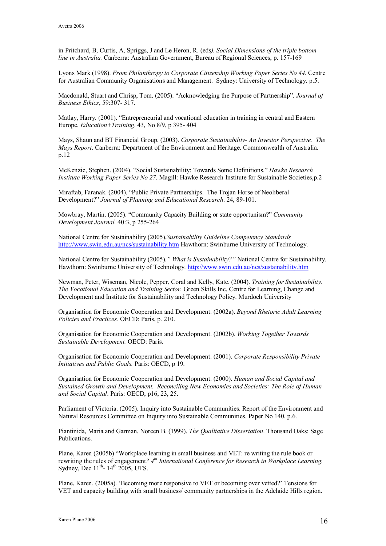in Pritchard, B, Curtis, A, Spriggs, J and Le Heron, R. (eds*). Social Dimensions of the triple bottom line in Australia.* Canberra: Australian Government, Bureau of Regional Sciences, p. 157-169

Lyons Mark (1998). *From Philanthropy to Corporate Citizenship Working Paper Series No 44*. Centre for Australian Community Organisations and Management. Sydney: University of Technology. p.5.

Macdonald, Stuart and Chrisp, Tom. (2005). "Acknowledging the Purpose of Partnership". *Journal of Business Ethics*, 59:307- 317.

Matlay, Harry. (2001). "Entrepreneurial and vocational education in training in central and Eastern Europe. *Education+Training*. 43, No 8/9, p 395-404

Mays, Shaun and BT Financial Group. (2003). *Corporate Sustainability An Investor Perspective. The Mays Report*. Canberra: Department of the Environment and Heritage. Commonwealth of Australia. p.12

McKenzie, Stephen. (2004). "Social Sustainability: Towards Some Definitions." *Hawke Research Institute Working Paper Series No 27*. Magill: Hawke Research Institute for Sustainable Societies,p.2

Miraftab, Faranak. (2004). "Public Private Partnerships. The Trojan Horse of Neoliberal Development?" *Journal of Planning and Educational Research*. 24, 89-101.

Mowbray, Martin. (2005). "Community Capacity Building or state opportunism?" *Community Development Journal.* 40:3, p 255-264

National Centre for Sustainability (2005).*Sustainability Guideline Competency Standards* <http://www.swin.edu.au/ncs/sustainability.htm> Hawthorn: Swinburne University of Technology.

National Centre for Sustainability (2005).*" What is Sustainability?"* National Centre for Sustainability. Hawthorn: Swinburne University of Technology. <http://www.swin.edu.au/ncs/sustainability.htm>

Newman, Peter, Wiseman, Nicole, Pepper, Coral and Kelly, Kate. (2004). *Training for Sustainability. The Vocational Education and Training Sector.* Green Skills Inc, Centre for Learning, Change and Development and Institute for Sustainability and Technology Policy. Murdoch University

Organisation for Economic Cooperation and Development. (2002a). *Beyond Rhetoric Adult Learning Policies and Practices.* OECD: Paris, p. 210.

Organisation for Economic Cooperation and Development. (2002b). *Working Together Towards Sustainable Development.* OECD: Paris.

Organisation for Economic Cooperation and Development. (2001). *Corporate Responsibility Private Initiatives and Public Goals.* Paris: OECD, p 19.

Organisation for Economic Cooperation and Development. (2000). *Human and Social Capital and Sustained Growth and Development. Reconciling New Economies and Societies: The Role of Human and Social Capital*. Paris: OECD, p16, 23, 25.

Parliament of Victoria. (2005). Inquiry into Sustainable Communities. Report of the Environment and Natural Resources Committee on Inquiry into Sustainable Communities. Paper No 140, p.6.

Piantinida, Maria and Garman, Noreen B. (1999). *The Qualitative Dissertation*. Thousand Oaks: Sage Publications.

Plane, Karen (2005b) "Workplace learning in small business and VET: re writing the rule book or rewriting the rules of engagement*? 4 th International Conference for Research in Workplace Learning.* Sydney, Dec  $11^{th}$ -  $14^{th}$  2005, UTS.

Plane, Karen. (2005a). 'Becoming more responsive to VET or becoming over vetted?' Tensions for VET and capacity building with small business/ community partnerships in the Adelaide Hills region.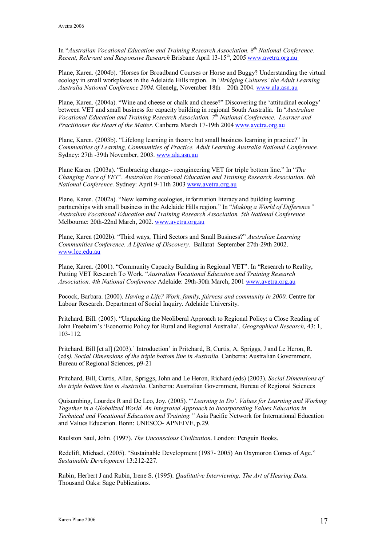In "*Australian Vocational Education and Training Research Association. 8 th National Conference. Recent, Relevant and Responsive Research Brisbane April 13-15<sup>th</sup>, 2005 www.avetra.org.au* 

Plane, Karen. (2004b). 'Horses for Broadband Courses or Horse and Buggy? Understanding the virtual ecology in small workplaces in the Adelaide Hills region. In '*Bridging Cultures' the Adult Learning Australia National Conference 2004*. Glenelg, November 18th – 20th 2004. [www.ala.asn.au](http://www.ala.asn.au/)

Plane, Karen. (2004a). "Wine and cheese or chalk and cheese?" Discovering the 'attitudinal ecology' between VET and small business for capacity building in regional South Australia. In "*Australian Vocational Education and Training Research Association. 7 th National Conference. Learner and Practitioner the Heart of the Matter.* Canberra March 1719th 2004 [www.avetra.org.au](http://www.avetra.org.au/)

Plane, Karen. (2003b). "Lifelong learning in theory: but small business learning in practice?" In *Communities of Learning, Communities of Practice. Adult Learning Australia National Conference.* Sydney: 27th 39th November, 2003. [www.ala.asn.au](http://www.ala.asn.au/)

Plane Karen. (2003a). "Embracing change-- reengineering VET for triple bottom line." In "The *Changing Face of VET*". *Australian Vocational Education and Training Research Association. 6th National Conference.* Sydney: April 911th 2003 [www.avetra.org.au](http://www.avetra.org.au/)

Plane, Karen. (2002a). "New learning ecologies, information literacy and building learning partnerships with small business in the Adelaide Hills region." In "*Making a World of Difference*" *Australian Vocational Education and Training Research Association. 5th National Conference* Melbourne: 20th-22nd March, 2002. [www.avetra.org.au](http://www.avetra.org.au/)

Plane, Karen (2002b). "Third ways, Third Sectors and Small Business?" *Australian Learning Communities Conference. A Lifetime of Discovery.* Ballarat September 27th-29th 2002. [www.lcc.edu.au](http://www.lcc.edu.au/) 

Plane, Karen. (2001). "Community Capacity Building in Regional VET". In "Research to Reality, Putting VET Research To Work. "*Australian Vocational Education and Training Research Association. 4th National Conference* Adelaide: 29th-30th March, 2001 www.avetra.org.au

Pocock, Barbara. (2000). *Having a Life? Work, family, fairness and community in 2000*. Centre for Labour Research. Department of Social Inquiry. Adelaide University.

Pritchard, Bill. (2005). "Unpacking the Neoliberal Approach to Regional Policy: a Close Reading of John Freebairn's 'Economic Policy for Rural and Regional Australia'. *Geographical Research,* 43: 1, 103112.

Pritchard, Bill [et al] (2003).' Introduction' in Pritchard, B, Curtis, A, Spriggs, J and Le Heron, R. (eds*). Social Dimensions of the triple bottom line in Australia.* Canberra: Australian Government, Bureau of Regional Sciences, p9-21

Pritchard, Bill, Curtis, Allan, Spriggs, John and Le Heron, Richard.(eds) (2003). *Social Dimensions of the triple bottom line in Australia*. Canberra: Australian Government, Bureau of Regional Sciences

Quisumbing, Lourdes R and De Leo, Joy. (2005). "'*Learning to Do'. Values for Learning and Working Together in a Globalized World. An Integrated Approach to Incorporating Values Education in Technical and Vocational Education and Training."* Asia Pacific Network for International Education and Values Education. Bonn: UNESCO- APNEIVE, p.29.

Raulston Saul, John. (1997). *The Unconscious Civilization*. London: Penguin Books.

Redclift, Michael. (2005). "Sustainable Development (1987-2005) An Oxymoron Comes of Age." *Sustainable Development* 13:212-227.

Rubin, Herbert J and Rubin, Irene S. (1995). *Qualitative Interviewing. The Art of Hearing Data.* Thousand Oaks: Sage Publications.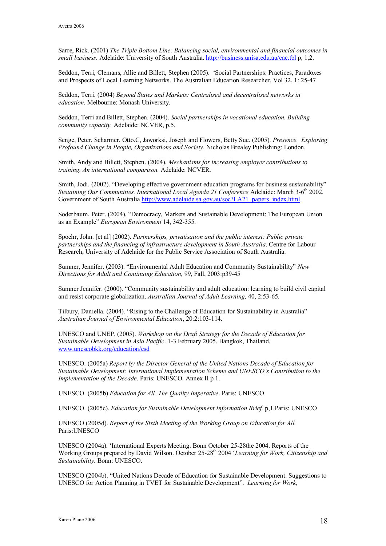Sarre, Rick. (2001) *The Triple Bottom Line: Balancing social, environmental and financial outcomes in small business*. Adelaide: University of South Australia. <http://business.unisa.edu.au/cac.tbl> p, 1,2.

Seddon, Terri, Clemans, Allie and Billett, Stephen (2005). 'Social Partnerships: Practices, Paradoxes and Prospects of Local Learning Networks. The Australian Education Researcher. Vol 32, 1: 2547

Seddon, Terri. (2004) *Beyond States and Markets: Centralised and decentralised networks in education.* Melbourne: Monash University.

Seddon, Terri and Billett, Stephen. (2004). *Social partnerships in vocational education. Building community capacity.* Adelaide: NCVER, p.5.

Senge, Peter, Scharmer, Otto.C, Jaworksi, Joseph and Flowers, Betty Sue. (2005). *Presence. Exploring Profound Change in People, Organizations and Society*. Nicholas Brealey Publishing: London.

Smith, Andy and Billett, Stephen. (2004). *Mechanisms for increasing employer contributions to training. An international comparison.* Adelaide: NCVER.

Smith, Jodi. (2002). "Developing effective government education programs for business sustainability" *Sustaining Our Communities. International Local Agenda 21 Conference* Adelaide: March 36 th 2002. Government of South Australia [http://www.adelaide.sa.gov.au/soc?LA21\\_papers\\_index.html](http://www.adelaide.sa.gov.au/soc?LA21_papers_index.html)

Soderbaum, Peter. (2004). "Democracy, Markets and Sustainable Development: The European Union as an Example" *European Environment* 14, 342-355.

Spoehr, John. [et al] (2002). *Partnerships, privatisation and the public interest: Public private partnerships and the financing of infrastructure development in South Australia*. Centre for Labour Research, University of Adelaide for the Public Service Association of South Australia.

Sumner, Jennifer. (2003). "Environmental Adult Education and Community Sustainability" *New Directions for Adult and Continuing Education,* 99, Fall, 2003:p3945

Sumner Jennifer. (2000). "Community sustainability and adult education: learning to build civil capital and resist corporate globalization. *Australian Journal of Adult Learning,* 40, 2:5365.

Tilbury, Daniella. (2004). "Rising to the Challenge of Education for Sustainability in Australia" *Australian Journal of Environmental Education*, 20:2:103114.

UNESCO and UNEP. (2005). *Workshop on the Draft Strategy for the Decade of Education for Sustainable Development in Asia Pacific*. 13 February 2005. Bangkok, Thailand. [www.unescobkk.org/education/esd](http://www.unescobkk.org/education/esd) 

UNESCO. (2005a) *Report by the Director General of the United Nations Decade of Education for Sustainable Development: International Implementation Scheme and UNESCO's Contribution to the Implementation of the Decade*. Paris: UNESCO. Annex II p 1.

UNESCO. (2005b) *Education for All. The Quality Imperative*. Paris: UNESCO

UNESCO. (2005c). *Education for Sustainable Development Information Brief.* p,1.Paris: UNESCO

UNESCO (2005d). *Report of the Sixth Meeting of the Working Group on Education for All.* Paris:UNESCO

UNESCO (2004a). 'International Experts Meeting. Bonn October 25-28the 2004. Reports of the Working Groups prepared by David Wilson. October 25-28<sup>th</sup> 2004 '*Learning for Work, Citizenship and Sustainability.* Bonn: UNESCO.

UNESCO (2004b). "United Nations Decade of Education for Sustainable Development. Suggestions to UNESCO for Action Planning in TVET for Sustainable Development". *Learning for Work,*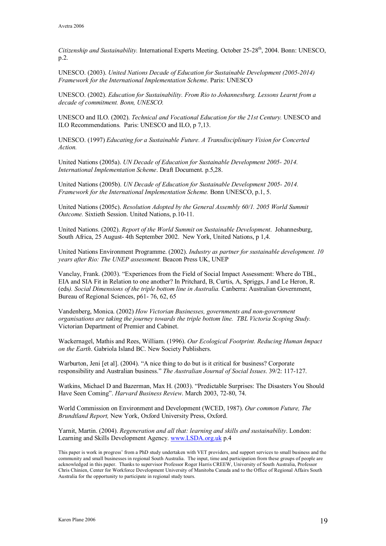Citizenship and Sustainability. International Experts Meeting. October 25-28<sup>th</sup>, 2004. Bonn: UNESCO, p.2.

UNESCO. (2003). *United Nations Decade of Education for Sustainable Development (20052014) Framework for the International Implementation Scheme*. Paris: UNESCO

UNESCO. (2002). *Education for Sustainability. From Rio to Johannesburg. Lessons Learnt from a decade of commitment. Bonn, UNESCO.*

UNESCO and ILO. (2002). *Technical and Vocational Education for the 21st Century.* UNESCO and ILO Recommendations. Paris: UNESCO and ILO, p 7,13.

UNESCO. (1997) *Educating for a Sustainable Future. A Transdisciplinary Vision for Concerted Action.*

United Nations (2005a). *UN Decade of Education for Sustainable Development 2005 2014. International Implementation Scheme*. Draft Document. p.5,28.

United Nations (2005b). *UN Decade of Education for Sustainable Development 2005 2014. Framework for the International Implementation Scheme.* Bonn UNESCO, p.1, 5.

United Nations (2005c). *Resolution Adopted by the General Assembly 60/1. 2005 World Summit Outcome.* Sixtieth Session. United Nations, p.10-11.

United Nations. (2002). *Report of the World Summit on Sustainable Development*. Johannesburg, South Africa, 25 August- 4th September 2002. New York, United Nations, p 1,4.

United Nations Environment Programme. (2002). *Industry as partner for sustainable development. 10 years after Rio: The UNEP assessment.* Beacon Press UK, UNEP

Vanclay, Frank. (2003). "Experiences from the Field of Social Impact Assessment: Where do TBL, EIA and SIA Fitin Relation to one another? In Pritchard, B, Curtis, A, Spriggs, J and Le Heron, R. (eds*). Social Dimensions of the triple bottom line in Australia.* Canberra: Australian Government, Bureau of Regional Sciences, p61-76, 62, 65

Vandenberg, Monica. (2002) *How Victorian Businesses, governments and nongovernment organisations are taking the journey towards the triple bottom line. TBL Victoria Scoping Study.* Victorian Department of Premier and Cabinet.

Wackernagel, Mathis and Rees, William. (1996). *Our Ecological Footprint. Reducing Human Impact on the Earth*. Gabriola Island BC. New Society Publishers.

Warburton, Jeni [et al]. (2004). "A nice thing to do but is it critical for business? Corporate responsibility and Australian business." *The Australian Journal of Social Issues*. 39/2: 117127.

Watkins, Michael D and Bazerman, Max H. (2003). "Predictable Surprises: The Disasters You Should Have Seen Coming". *Harvard Business Review*. March 2003, 72-80, 74.

World Commission on Environment and Development (WCED, 1987). *Our common Future, The Brundtland Report,* New York, Oxford University Press, Oxford.

Yarnit, Martin. (2004). *Regeneration and all that: learning and skills and sustainability*. London: Learning and Skills Development Agency. [www.LSDA.org.uk](file:///C|/Study/Research/Conference%20papers/Current%20Papers/Publications/www.LSDA.org.uk) p.4

This paper is work in progress' from a PhD study undertaken with VET providers, and support services to small business and the community and small businesses in regional South Australia. The input, time and participation from these groups of people are acknowledged in this paper. Thanks to supervisor Professor Roger Harris CREEW, University of South Australia, Professor Chris Chinien, Center for Workforce Development University of Manitoba Canada and to the Office of Regional Affairs South Australia for the opportunity to participate in regional study tours.